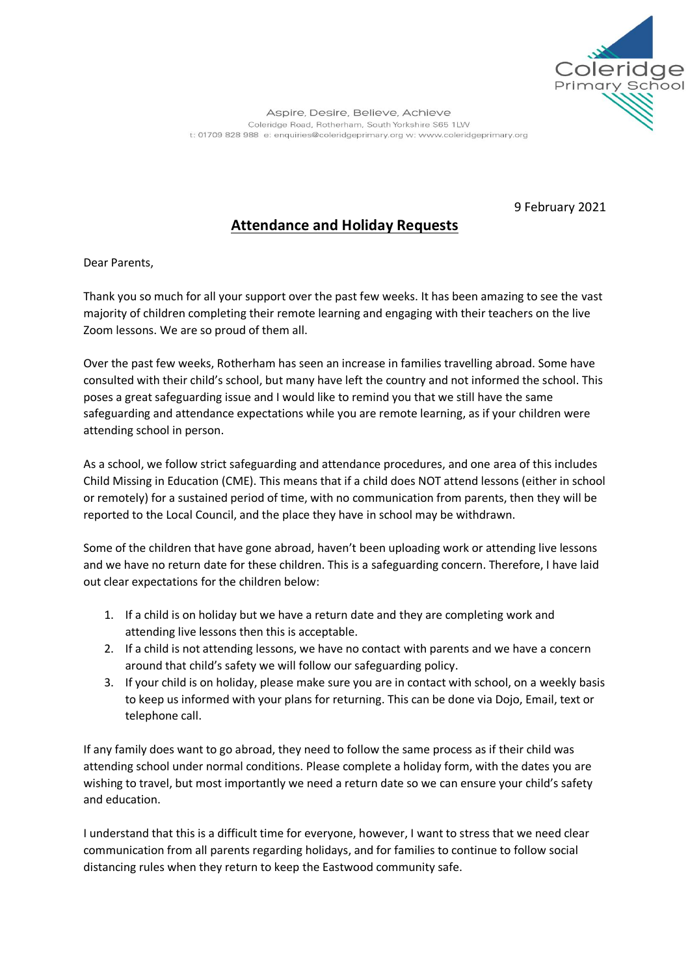

Aspire, Desire, Believe, Achieve Coleridge Road, Rotherham, South Yorkshire S65 1LW t: 01709 828 988 e: enquiries@coleridgeprimary.org w: www.coleridgeprimary.org

9 February 2021

## **Attendance and Holiday Requests**

Dear Parents,

Thank you so much for all your support over the past few weeks. It has been amazing to see the vast majority of children completing their remote learning and engaging with their teachers on the live Zoom lessons. We are so proud of them all.

Over the past few weeks, Rotherham has seen an increase in families travelling abroad. Some have consulted with their child's school, but many have left the country and not informed the school. This poses a great safeguarding issue and I would like to remind you that we still have the same safeguarding and attendance expectations while you are remote learning, as if your children were attending school in person.

As a school, we follow strict safeguarding and attendance procedures, and one area of this includes Child Missing in Education (CME). This means that if a child does NOT attend lessons (either in school or remotely) for a sustained period of time, with no communication from parents, then they will be reported to the Local Council, and the place they have in school may be withdrawn.

Some of the children that have gone abroad, haven't been uploading work or attending live lessons and we have no return date for these children. This is a safeguarding concern. Therefore, I have laid out clear expectations for the children below:

- 1. If a child is on holiday but we have a return date and they are completing work and attending live lessons then this is acceptable.
- 2. If a child is not attending lessons, we have no contact with parents and we have a concern around that child's safety we will follow our safeguarding policy.
- 3. If your child is on holiday, please make sure you are in contact with school, on a weekly basis to keep us informed with your plans for returning. This can be done via Dojo, Email, text or telephone call.

If any family does want to go abroad, they need to follow the same process as if their child was attending school under normal conditions. Please complete a holiday form, with the dates you are wishing to travel, but most importantly we need a return date so we can ensure your child's safety and education.

I understand that this is a difficult time for everyone, however, I want to stress that we need clear communication from all parents regarding holidays, and for families to continue to follow social distancing rules when they return to keep the Eastwood community safe.